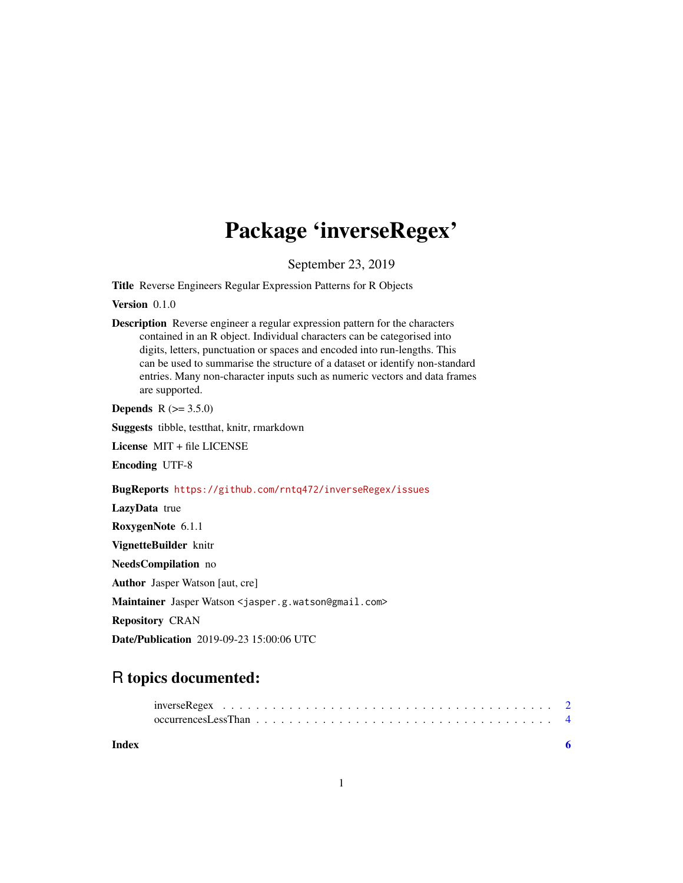## Package 'inverseRegex'

September 23, 2019

Title Reverse Engineers Regular Expression Patterns for R Objects

Version 0.1.0

Description Reverse engineer a regular expression pattern for the characters contained in an R object. Individual characters can be categorised into digits, letters, punctuation or spaces and encoded into run-lengths. This can be used to summarise the structure of a dataset or identify non-standard entries. Many non-character inputs such as numeric vectors and data frames are supported.

**Depends**  $R (= 3.5.0)$ 

Suggests tibble, testthat, knitr, rmarkdown

License MIT + file LICENSE

Encoding UTF-8

#### BugReports <https://github.com/rntq472/inverseRegex/issues>

LazyData true RoxygenNote 6.1.1 VignetteBuilder knitr NeedsCompilation no Author Jasper Watson [aut, cre] Maintainer Jasper Watson <jasper.g.watson@gmail.com> Repository CRAN Date/Publication 2019-09-23 15:00:06 UTC

### R topics documented:

|       | occurrences Less Than $\ldots \ldots \ldots \ldots \ldots \ldots \ldots \ldots \ldots \ldots \ldots \ldots$ |  |  |  |  |  |  |  |  |  |  |  |  |  |  |
|-------|-------------------------------------------------------------------------------------------------------------|--|--|--|--|--|--|--|--|--|--|--|--|--|--|
| Index |                                                                                                             |  |  |  |  |  |  |  |  |  |  |  |  |  |  |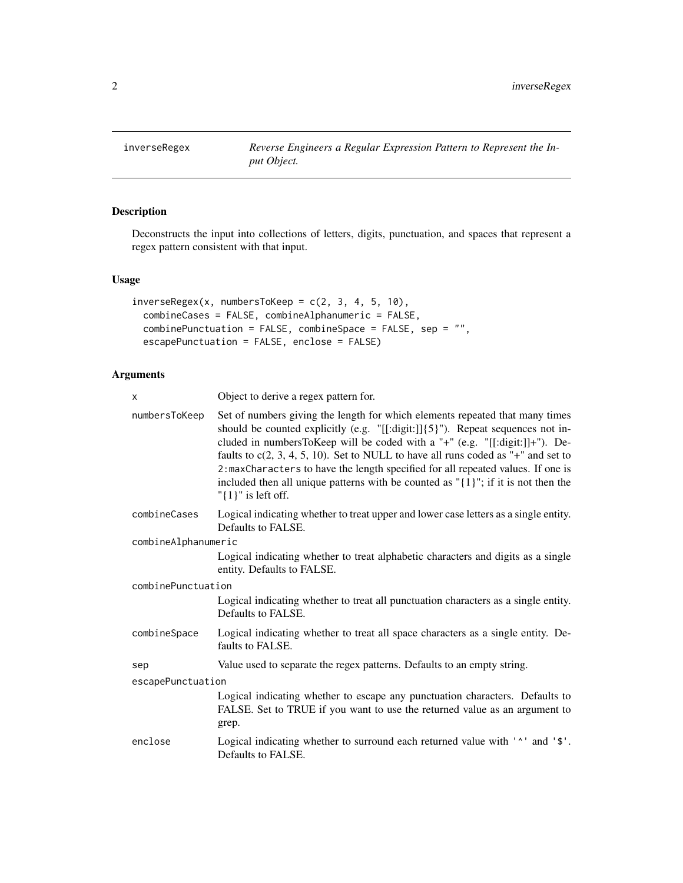<span id="page-1-0"></span>

#### Description

Deconstructs the input into collections of letters, digits, punctuation, and spaces that represent a regex pattern consistent with that input.

#### Usage

```
inverseRegex(x, numberS70Keep = c(2, 3, 4, 5, 10),combineCases = FALSE, combineAlphanumeric = FALSE,
 combinePunctuation = FALSE, combineSpace = FALSE, sep = "",
 escapePunctuation = FALSE, enclose = FALSE)
```
#### Arguments

| x                   | Object to derive a regex pattern for.                                                                                                                                                                                                                                                                                                                                                                                                                                                                                                                           |  |  |  |  |  |  |
|---------------------|-----------------------------------------------------------------------------------------------------------------------------------------------------------------------------------------------------------------------------------------------------------------------------------------------------------------------------------------------------------------------------------------------------------------------------------------------------------------------------------------------------------------------------------------------------------------|--|--|--|--|--|--|
| numbersToKeep       | Set of numbers giving the length for which elements repeated that many times<br>should be counted explicitly (e.g. $"[[:digit:]]{5}]"$ ). Repeat sequences not in-<br>cluded in numbersToKeep will be coded with a "+" (e.g. "[[:digit:]]+"). De-<br>faults to $c(2, 3, 4, 5, 10)$ . Set to NULL to have all runs coded as "+" and set to<br>2: maxCharacters to have the length specified for all repeated values. If one is<br>included then all unique patterns with be counted as $\lceil \{1\} \rceil$ ; if it is not then the<br>" $\{1\}$ " is left off. |  |  |  |  |  |  |
| combineCases        | Logical indicating whether to treat upper and lower case letters as a single entity.<br>Defaults to FALSE.                                                                                                                                                                                                                                                                                                                                                                                                                                                      |  |  |  |  |  |  |
| combineAlphanumeric |                                                                                                                                                                                                                                                                                                                                                                                                                                                                                                                                                                 |  |  |  |  |  |  |
|                     | Logical indicating whether to treat alphabetic characters and digits as a single<br>entity. Defaults to FALSE.                                                                                                                                                                                                                                                                                                                                                                                                                                                  |  |  |  |  |  |  |
| combinePunctuation  |                                                                                                                                                                                                                                                                                                                                                                                                                                                                                                                                                                 |  |  |  |  |  |  |
|                     | Logical indicating whether to treat all punctuation characters as a single entity.<br>Defaults to FALSE.                                                                                                                                                                                                                                                                                                                                                                                                                                                        |  |  |  |  |  |  |
| combineSpace        | Logical indicating whether to treat all space characters as a single entity. De-<br>faults to FALSE.                                                                                                                                                                                                                                                                                                                                                                                                                                                            |  |  |  |  |  |  |
| sep                 | Value used to separate the regex patterns. Defaults to an empty string.                                                                                                                                                                                                                                                                                                                                                                                                                                                                                         |  |  |  |  |  |  |
| escapePunctuation   |                                                                                                                                                                                                                                                                                                                                                                                                                                                                                                                                                                 |  |  |  |  |  |  |
|                     | Logical indicating whether to escape any punctuation characters. Defaults to<br>FALSE. Set to TRUE if you want to use the returned value as an argument to<br>grep.                                                                                                                                                                                                                                                                                                                                                                                             |  |  |  |  |  |  |
| enclose             | Logical indicating whether to surround each returned value with ' <sup>^</sup> ' and '\$'.<br>Defaults to FALSE.                                                                                                                                                                                                                                                                                                                                                                                                                                                |  |  |  |  |  |  |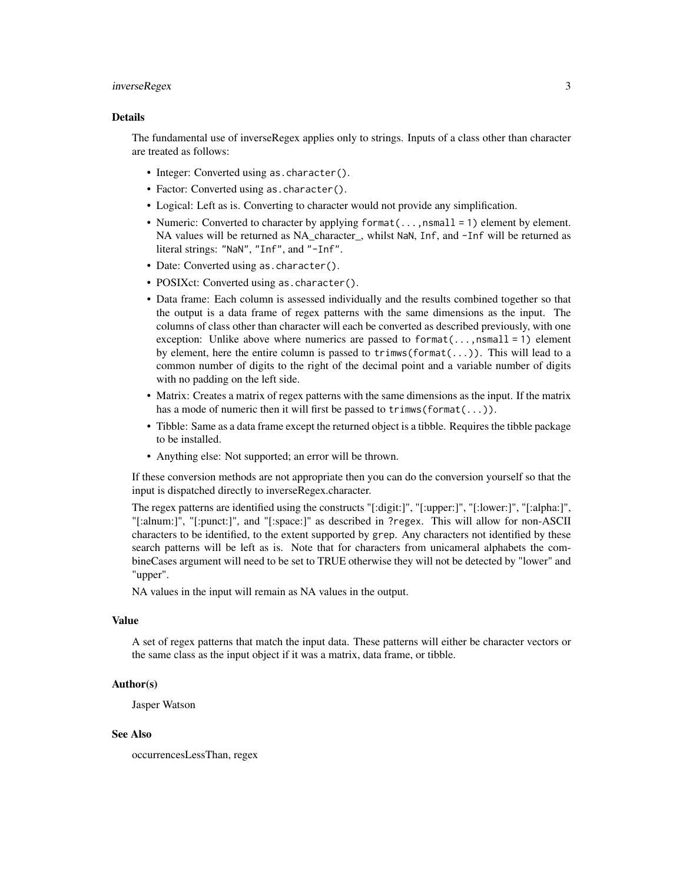#### inverseRegex 3

#### Details

The fundamental use of inverseRegex applies only to strings. Inputs of a class other than character are treated as follows:

- Integer: Converted using as.character().
- Factor: Converted using as.character().
- Logical: Left as is. Converting to character would not provide any simplification.
- Numeric: Converted to character by applying format(...,nsmall = 1) element by element. NA values will be returned as NA character, whilst NaN, Inf, and -Inf will be returned as literal strings: "NaN", "Inf", and "-Inf".
- Date: Converted using as. character().
- POSIXct: Converted using as.character().
- Data frame: Each column is assessed individually and the results combined together so that the output is a data frame of regex patterns with the same dimensions as the input. The columns of class other than character will each be converted as described previously, with one exception: Unlike above where numerics are passed to format $(\ldots, n$ small = 1) element by element, here the entire column is passed to  $\text{trimws}(format(...))$ . This will lead to a common number of digits to the right of the decimal point and a variable number of digits with no padding on the left side.
- Matrix: Creates a matrix of regex patterns with the same dimensions as the input. If the matrix has a mode of numeric then it will first be passed to trimws(format(...)).
- Tibble: Same as a data frame except the returned object is a tibble. Requires the tibble package to be installed.
- Anything else: Not supported; an error will be thrown.

If these conversion methods are not appropriate then you can do the conversion yourself so that the input is dispatched directly to inverseRegex.character.

The regex patterns are identified using the constructs "[:digit:]", "[:upper:]", "[:lower:]", "[:alpha:]", "[:alnum:]", "[:punct:]", and "[:space:]" as described in ?regex. This will allow for non-ASCII characters to be identified, to the extent supported by grep. Any characters not identified by these search patterns will be left as is. Note that for characters from unicameral alphabets the combineCases argument will need to be set to TRUE otherwise they will not be detected by "lower" and "upper".

NA values in the input will remain as NA values in the output.

#### Value

A set of regex patterns that match the input data. These patterns will either be character vectors or the same class as the input object if it was a matrix, data frame, or tibble.

#### Author(s)

Jasper Watson

#### See Also

occurrencesLessThan, regex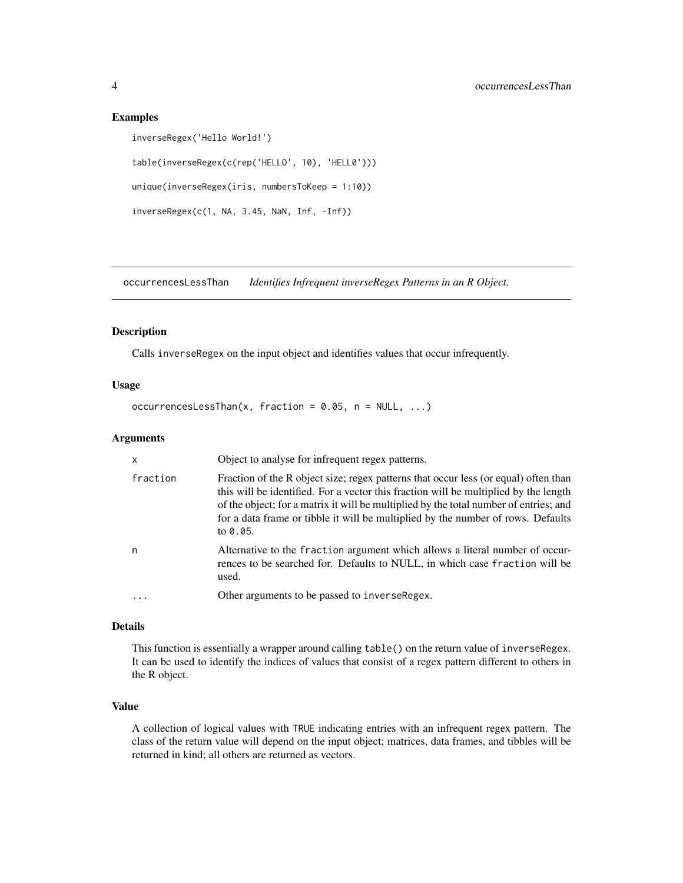#### Examples

```
inverseRegex('Hello World!')
table(inverseRegex(c(rep('HELLO', 10), 'HELL0')))
unique(inverseRegex(iris, numbersToKeep = 1:10))
inverseRegex(c(1, NA, 3.45, NaN, Inf, -Inf))
```
occurrencesLessThan *Identifies Infrequent inverseRegex Patterns in an R Object.*

#### Description

Calls inverseRegex on the input object and identifies values that occur infrequently.

#### Usage

occurrencesLessThan(x, fraction =  $0.05$ , n = NULL, ...)

#### Arguments

| $\mathsf{x}$ | Object to analyse for infrequent regex patterns.                                                                                                                                                                                                                                                                                                                        |
|--------------|-------------------------------------------------------------------------------------------------------------------------------------------------------------------------------------------------------------------------------------------------------------------------------------------------------------------------------------------------------------------------|
| fraction     | Fraction of the R object size; regex patterns that occur less (or equal) often than<br>this will be identified. For a vector this fraction will be multiplied by the length<br>of the object; for a matrix it will be multiplied by the total number of entries; and<br>for a data frame or tibble it will be multiplied by the number of rows. Defaults<br>to $0.05$ . |
| n            | Alternative to the fraction argument which allows a literal number of occur-<br>rences to be searched for. Defaults to NULL, in which case fraction will be<br>used.                                                                                                                                                                                                    |
|              | Other arguments to be passed to inverse Regex.                                                                                                                                                                                                                                                                                                                          |

#### Details

This function is essentially a wrapper around calling table() on the return value of inverseRegex. It can be used to identify the indices of values that consist of a regex pattern different to others in the R object.

#### Value

A collection of logical values with TRUE indicating entries with an infrequent regex pattern. The class of the return value will depend on the input object; matrices, data frames, and tibbles will be returned in kind; all others are returned as vectors.

<span id="page-3-0"></span>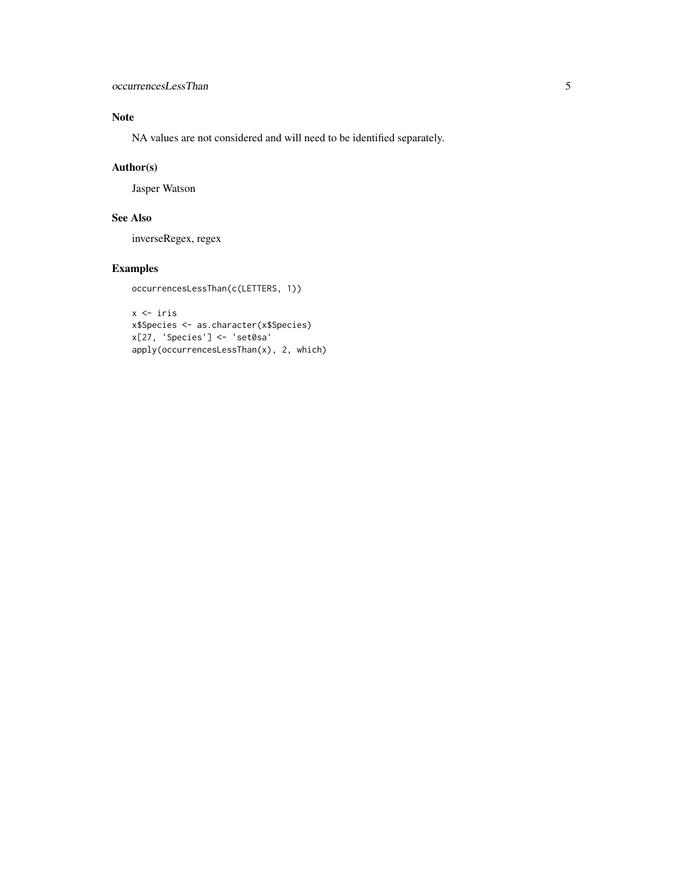#### Note

NA values are not considered and will need to be identified separately.

#### Author(s)

Jasper Watson

#### See Also

inverseRegex, regex

#### Examples

```
occurrencesLessThan(c(LETTERS, 1))
```

```
x <- iris
x$Species <- as.character(x$Species)
x[27, 'Species'] <- 'set0sa'
apply(occurrencesLessThan(x), 2, which)
```